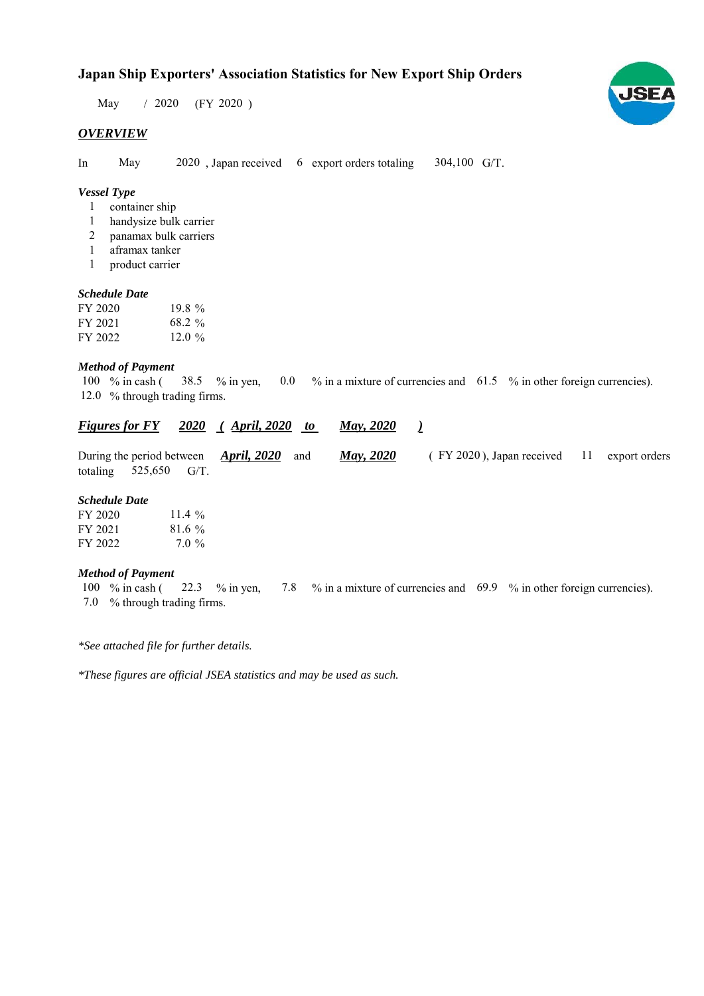# **Japan Ship Exporters' Association Statistics for New Export Ship Orders**

 $/ 2020$  (FY 2020) May

## *OVERVIEW*

In May 2020, Japan received 6 export orders totaling 304,100 G/T.

## *Vessel Type*

- container ship 1
- handysize bulk carrier 1
- panamax bulk carriers 2
- aframax tanker 1
- product carrier 1

#### *Schedule Date*

| FY 2020 | 19.8%    |
|---------|----------|
| FY 2021 | 68.2 %   |
| FY 2022 | $12.0\%$ |

#### *Method of Payment*

% in cash ( $\frac{38.5}{8}$  % in yen, 0.0 % in a mixture of currencies and 61.5 % in other foreign currencies). 12.0 % through trading firms. 38.5 % in yen, 100  $%$  in cash (

| Figures for FY 2020 (April, 2020 to |  | <b>May, 2020</b> |  |
|-------------------------------------|--|------------------|--|
|                                     |  |                  |  |

| During the period between $\triangle p$ ril, 2020 and |                         |  |  | <b>May</b> , 2020 | (FY 2020), Japan received 11 export orders |  |  |
|-------------------------------------------------------|-------------------------|--|--|-------------------|--------------------------------------------|--|--|
|                                                       | totaling $525,650$ G/T. |  |  |                   |                                            |  |  |

## *Schedule Date*

| FY 2020 | 11.4 $\%$ |
|---------|-----------|
| FY 2021 | $81.6\%$  |
| FY 2022 | $7.0\%$   |

#### *Method of Payment*

% in cash ( $\frac{22.3}{8}$  % in yen,  $\frac{7.8}{8}$  % in a mixture of currencies and  $\frac{69.9}{8}$  % in other foreign currencies). % through trading firms. 7.0 100 % in cash (

*\*See attached file for further details.*

*\*These figures are official JSEA statistics and may be used as such.*

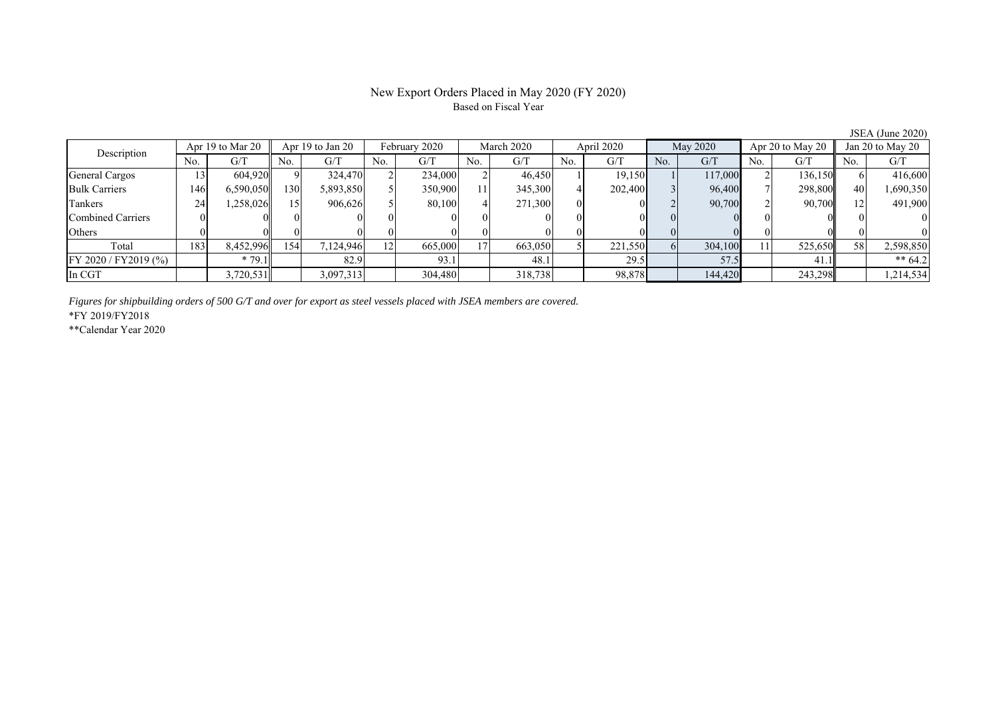## New Export Orders Placed in May 2020 (FY 2020) Based on Fiscal Year

No. G/T No. G/T No. G/T No. G/T No. G/T No. G/T No. G/T No. G/T General Cargos ( 13 604,920 9) 324,470 2 234,000 2 46,450 1 19,150 1 117,000 2 136,150 6 416,600 Bulk Carriers | 146 6,590,050 130 5,893,850 5 350,900 11 345,300 4 202,400 3 96,400 7 298,800 40 1,690,350 Tankers | 24| 1,258,026| 15| 906,626| 5| 80,100| 4| 271,300| 0| 0| 2| 90,700| 2| 90,700|| 12| 491,900 Combined Carriers 0 0 0 0 0 0 0 0 0 0 0 0 0 0 0 0 Others 0 0 0 0 0 0 0 0 0 0 0 0 0 0 0 0 Total | 183 8,452,996 154 7,124,946 12 665,000 17 663,050 5 221,550 6 304,100 11 525,650 58 2,598,850 FY 2020 / FY2019 (%) \* 79.1 82.9 93.1 48.1 29.5 57.5 41.1 \*\* 64.2 In CGT | | 3,720,531| | 3,097,313| | 304,480| | 318,738| | 98,878| | 144,420| | 243,298|| | 1,214,534 Description Apr 19 to Mar 20 Apr 19 to Jan 20 February 2020 March 2020<br>
No. G/T No. G/T No. G/T No. G/T No. G/T April 2020 May 2020 Apr 20 to May 20 Jan 20 to May 20

*Figures for shipbuilding orders of 500 G/T and over for export as steel vessels placed with JSEA members are covered.*

\*FY 2019/FY2018

\*\*Calendar Year 2020

JSEA (June 2020)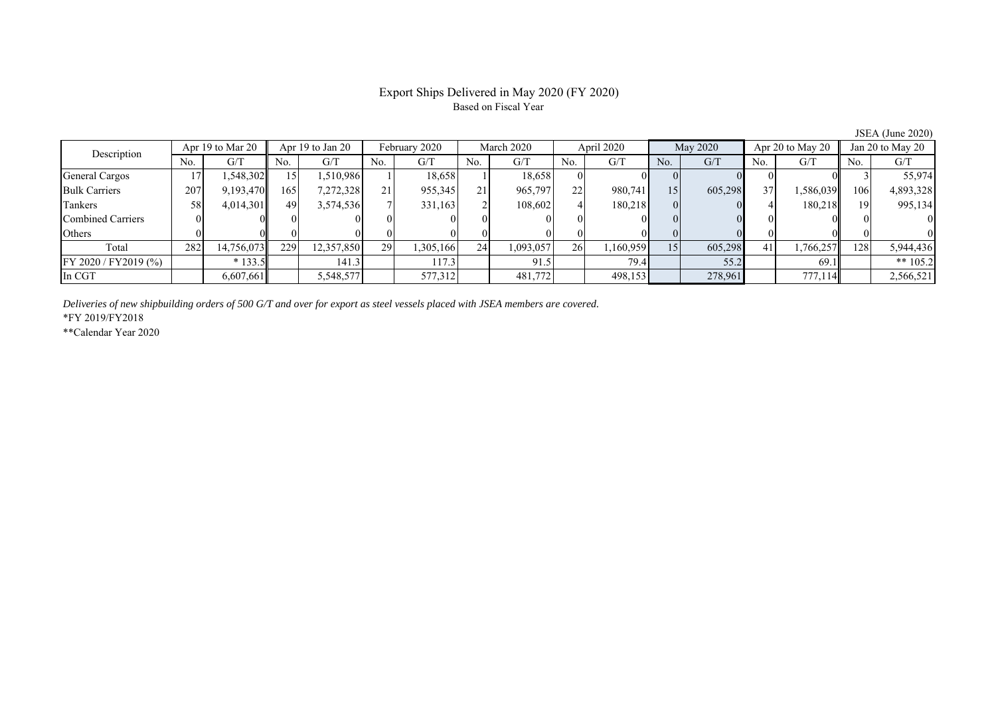# Export Ships Delivered in May 2020 (FY 2020) Based on Fiscal Year

JSEA (June 2020)

| Description          |     | Apr 19 to Mar 20 |     | Apr 19 to Jan 20 |     | February 2020 |     | March 2020 |                 | April 2020 |          | May 2020 |     | Apr 20 to May 20 |     | Jan 20 to May 20 |
|----------------------|-----|------------------|-----|------------------|-----|---------------|-----|------------|-----------------|------------|----------|----------|-----|------------------|-----|------------------|
|                      | No. | G/T              | No. | G/T              | No. | G/T           | No. | G/T        | No.             | G/T        | No.      | G/T      | No. | G/T              | No. | G/T              |
| General Cargos       |     | 1,548,302        | 51  | 1,510,986        |     | 18,658        |     | 18,658     |                 |            |          |          |     |                  |     | 55,974           |
| <b>Bulk Carriers</b> | 207 | 9,193,470        | 165 | 7,272,328        |     | 955,345       |     | 965,797    | 22              | 980,741    | 15       | 605,298  | 37  | 1,586,039        | 106 | 4,893,328        |
| Tankers              | 58  | 4,014,301        | 49  | 3,574,536        |     | 331,163       |     | 108,602    |                 | 180,218    | $\Omega$ |          |     | 180,218          | 19  | 995,134          |
| Combined Carriers    |     |                  |     |                  |     |               |     |            |                 |            |          |          |     |                  |     |                  |
| Others               |     |                  |     |                  |     |               |     |            |                 |            |          |          |     |                  |     |                  |
| Total                | 282 | 14,756,073       | 229 | 12,357,850       | 29  | 1,305,166     | 24  | 1,093,057  | 26 <sup>1</sup> | 1,160,959  | 15       | 605,298  | 41  | 1,766,257        | 128 | 5,944,436        |
| FY 2020 / FY2019 (%) |     | $*133.5$         |     | 141.3            |     | 117.3         |     | 91.5       |                 | 79.4       |          | 55.2     |     | 69.1             |     | ** $105.2$       |
| In CGT               |     | 6,607,661        |     | 5,548,577        |     | 577,312       |     | 481,772    |                 | 498,153    |          | 278,961  |     | 777,114          |     | 2,566,521        |

*Deliveries of new shipbuilding orders of 500 G/T and over for export as steel vessels placed with JSEA members are covered.*

\*FY 2019/FY2018

\*\*Calendar Year 2020